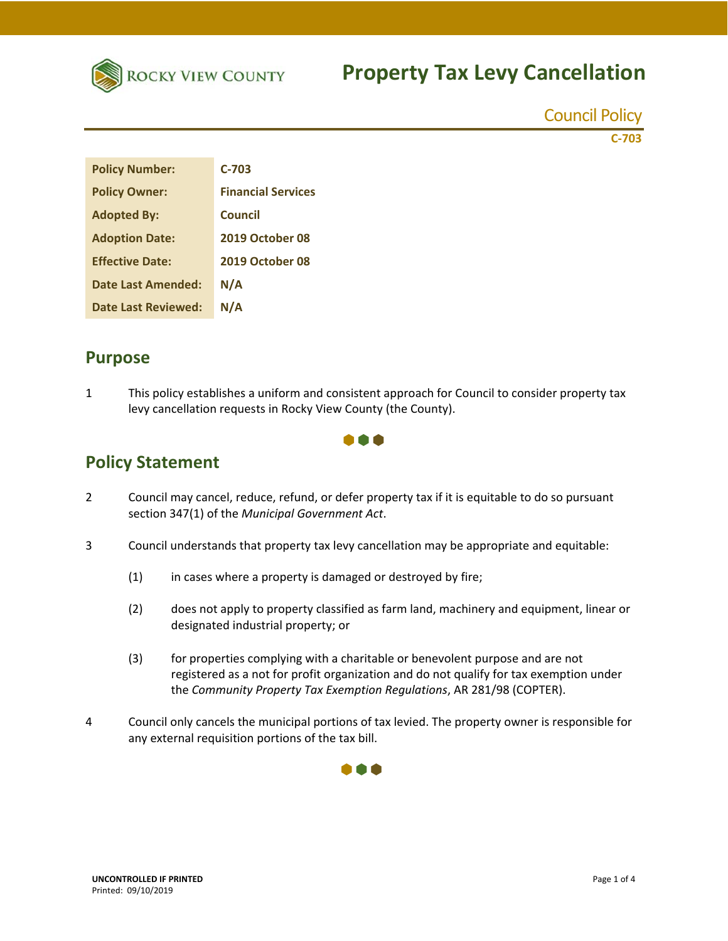

## **Property Tax Levy Cancellation**

Council Policy

**C‐703**

| <b>Policy Number:</b>      | C-703                     |
|----------------------------|---------------------------|
| <b>Policy Owner:</b>       | <b>Financial Services</b> |
| <b>Adopted By:</b>         | Council                   |
| <b>Adoption Date:</b>      | 2019 October 08           |
| <b>Effective Date:</b>     | 2019 October 08           |
| Date Last Amended:         | N/A                       |
| <b>Date Last Reviewed:</b> | N/A                       |

### **Purpose**

1 This policy establishes a uniform and consistent approach for Council to consider property tax levy cancellation requests in Rocky View County (the County).



## **Policy Statement**

- 2 Council may cancel, reduce, refund, or defer property tax if it is equitable to do so pursuant section 347(1) of the *Municipal Government Act*.
- 3 Council understands that property tax levy cancellation may be appropriate and equitable:
	- (1) in cases where a property is damaged or destroyed by fire;
	- (2) does not apply to property classified as farm land, machinery and equipment, linear or designated industrial property; or
	- (3) for properties complying with a charitable or benevolent purpose and are not registered as a not for profit organization and do not qualify for tax exemption under the *Community Property Tax Exemption Regulations*, AR 281/98 (COPTER).
- 4 Council only cancels the municipal portions of tax levied. The property owner is responsible for any external requisition portions of the tax bill.

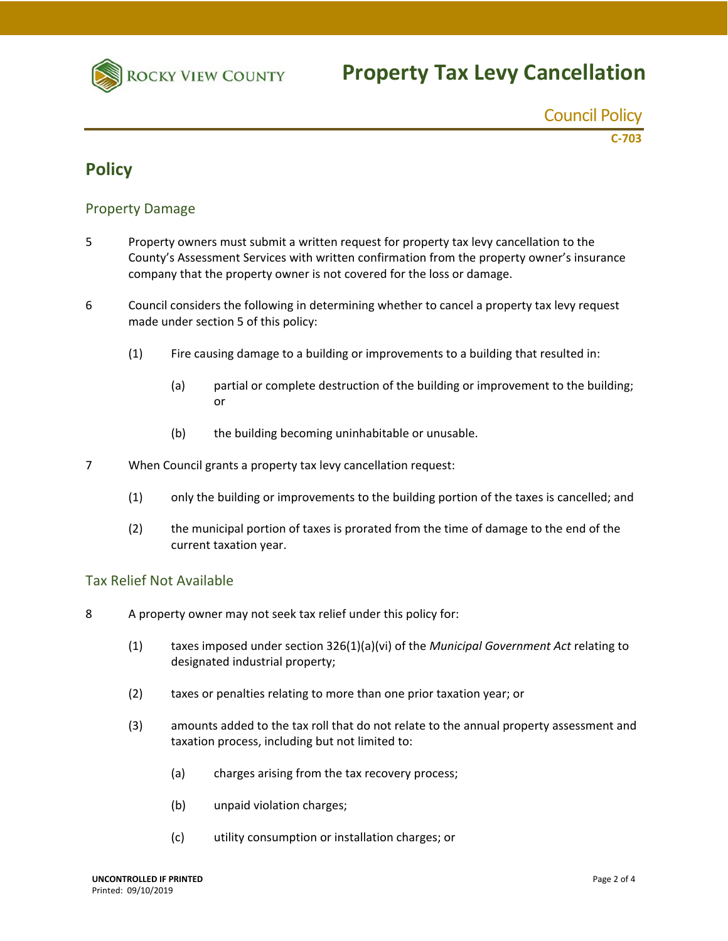

Council Policy **C‐703**

### **Policy**

#### Property Damage

- 5 Property owners must submit a written request for property tax levy cancellation to the County's Assessment Services with written confirmation from the property owner's insurance company that the property owner is not covered for the loss or damage.
- 6 Council considers the following in determining whether to cancel a property tax levy request made under section 5 of this policy:
	- (1) Fire causing damage to a building or improvements to a building that resulted in:
		- (a) partial or complete destruction of the building or improvement to the building; or
		- (b) the building becoming uninhabitable or unusable.
- 7 When Council grants a property tax levy cancellation request:
	- (1) only the building or improvements to the building portion of the taxes is cancelled; and
	- (2) the municipal portion of taxes is prorated from the time of damage to the end of the current taxation year.

#### Tax Relief Not Available

- 8 A property owner may not seek tax relief under this policy for:
	- (1) taxes imposed under section 326(1)(a)(vi) of the *Municipal Government Act* relating to designated industrial property;
	- (2) taxes or penalties relating to more than one prior taxation year; or
	- (3) amounts added to the tax roll that do not relate to the annual property assessment and taxation process, including but not limited to:
		- (a) charges arising from the tax recovery process;
		- (b) unpaid violation charges;
		- (c) utility consumption or installation charges; or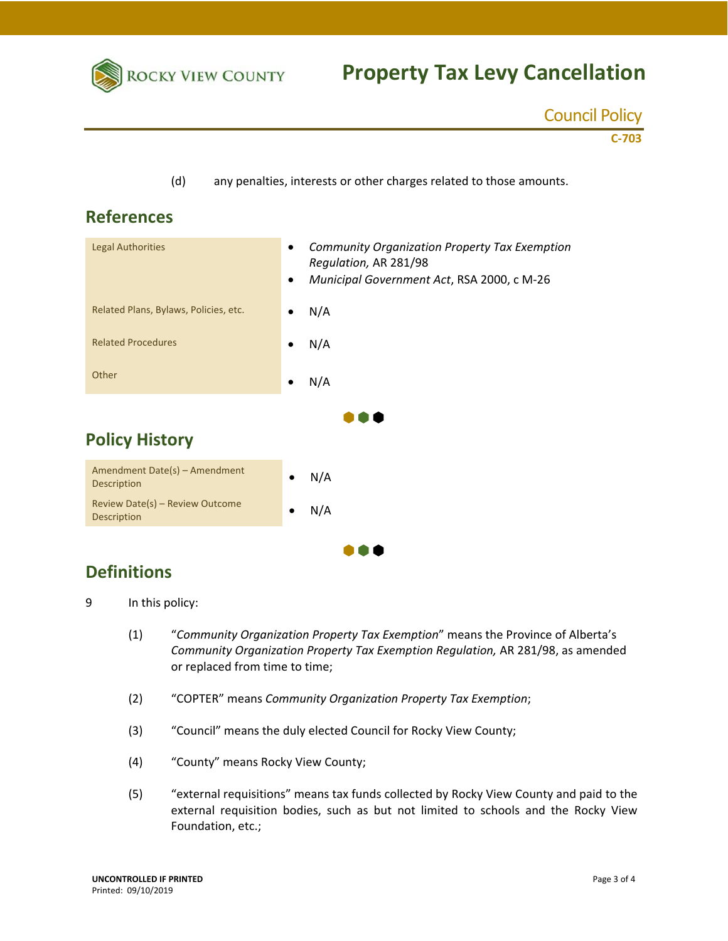

## **Property Tax Levy Cancellation**

| <b>Council Policy</b> |  |
|-----------------------|--|
|                       |  |

**C‐703**

(d) any penalties, interests or other charges related to those amounts.

## **References**





## **Definitions**

9 In this policy:

- (1) "*Community Organization Property Tax Exemption*" means the Province of Alberta's *Community Organization Property Tax Exemption Regulation,* AR 281/98, as amended or replaced from time to time;
- (2) "COPTER" means *Community Organization Property Tax Exemption*;
- (3) "Council" means the duly elected Council for Rocky View County;
- (4) "County" means Rocky View County;
- (5) "external requisitions" means tax funds collected by Rocky View County and paid to the external requisition bodies, such as but not limited to schools and the Rocky View Foundation, etc.;